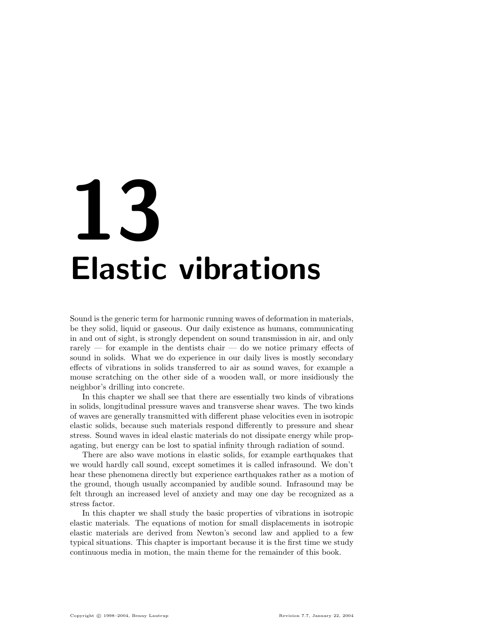# 13 Elastic vibrations

Sound is the generic term for harmonic running waves of deformation in materials, be they solid, liquid or gaseous. Our daily existence as humans, communicating in and out of sight, is strongly dependent on sound transmission in air, and only rarely — for example in the dentists chair — do we notice primary effects of sound in solids. What we do experience in our daily lives is mostly secondary effects of vibrations in solids transferred to air as sound waves, for example a mouse scratching on the other side of a wooden wall, or more insidiously the neighbor's drilling into concrete.

In this chapter we shall see that there are essentially two kinds of vibrations in solids, longitudinal pressure waves and transverse shear waves. The two kinds of waves are generally transmitted with different phase velocities even in isotropic elastic solids, because such materials respond differently to pressure and shear stress. Sound waves in ideal elastic materials do not dissipate energy while propagating, but energy can be lost to spatial infinity through radiation of sound.

There are also wave motions in elastic solids, for example earthquakes that we would hardly call sound, except sometimes it is called infrasound. We don't hear these phenomena directly but experience earthquakes rather as a motion of the ground, though usually accompanied by audible sound. Infrasound may be felt through an increased level of anxiety and may one day be recognized as a stress factor.

In this chapter we shall study the basic properties of vibrations in isotropic elastic materials. The equations of motion for small displacements in isotropic elastic materials are derived from Newton's second law and applied to a few typical situations. This chapter is important because it is the first time we study continuous media in motion, the main theme for the remainder of this book.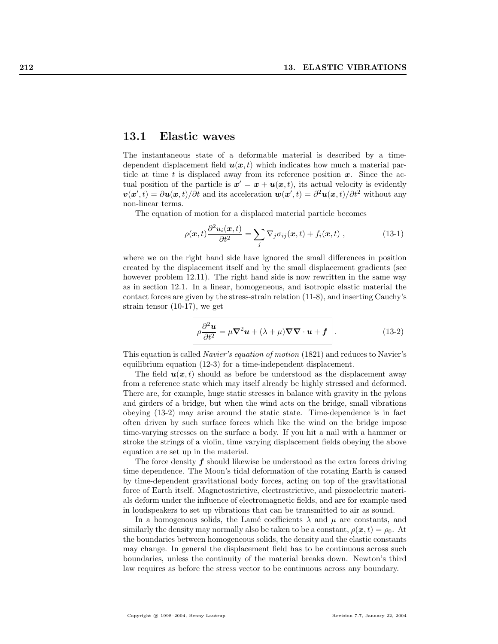# 13.1 Elastic waves

The instantaneous state of a deformable material is described by a timedependent displacement field  $u(x, t)$  which indicates how much a material particle at time t is displaced away from its reference position  $x$ . Since the actual position of the particle is  $x' = x + u(x, t)$ , its actual velocity is evidently  $v(x',t) = \partial u(x,t)/\partial t$  and its acceleration  $w(x',t) = \partial^2 u(x,t)/\partial t^2$  without any non-linear terms.

The equation of motion for a displaced material particle becomes

$$
\rho(\boldsymbol{x},t) \frac{\partial^2 u_i(\boldsymbol{x},t)}{\partial t^2} = \sum_j \nabla_j \sigma_{ij}(\boldsymbol{x},t) + f_i(\boldsymbol{x},t) , \qquad (13-1)
$$

where we on the right hand side have ignored the small differences in position created by the displacement itself and by the small displacement gradients (see however problem 12.11). The right hand side is now rewritten in the same way as in section 12.1. In a linear, homogeneous, and isotropic elastic material the contact forces are given by the stress-strain relation (11-8), and inserting Cauchy's strain tensor (10-17), we get

$$
\rho \frac{\partial^2 \mathbf{u}}{\partial t^2} = \mu \nabla^2 \mathbf{u} + (\lambda + \mu) \nabla \nabla \cdot \mathbf{u} + \mathbf{f} \tag{13-2}
$$

This equation is called Navier's equation of motion (1821) and reduces to Navier's equilibrium equation (12-3) for a time-independent displacement.

The field  $u(x, t)$  should as before be understood as the displacement away from a reference state which may itself already be highly stressed and deformed. There are, for example, huge static stresses in balance with gravity in the pylons and girders of a bridge, but when the wind acts on the bridge, small vibrations obeying (13-2) may arise around the static state. Time-dependence is in fact often driven by such surface forces which like the wind on the bridge impose time-varying stresses on the surface a body. If you hit a nail with a hammer or stroke the strings of a violin, time varying displacement fields obeying the above equation are set up in the material.

The force density  $f$  should likewise be understood as the extra forces driving time dependence. The Moon's tidal deformation of the rotating Earth is caused by time-dependent gravitational body forces, acting on top of the gravitational force of Earth itself. Magnetostrictive, electrostrictive, and piezoelectric materials deform under the influence of electromagnetic fields, and are for example used in loudspeakers to set up vibrations that can be transmitted to air as sound.

In a homogenous solids, the Lamé coefficients  $\lambda$  and  $\mu$  are constants, and similarly the density may normally also be taken to be a constant,  $\rho(\mathbf{x}, t) = \rho_0$ . At the boundaries between homogeneous solids, the density and the elastic constants may change. In general the displacement field has to be continuous across such boundaries, unless the continuity of the material breaks down. Newton's third law requires as before the stress vector to be continuous across any boundary.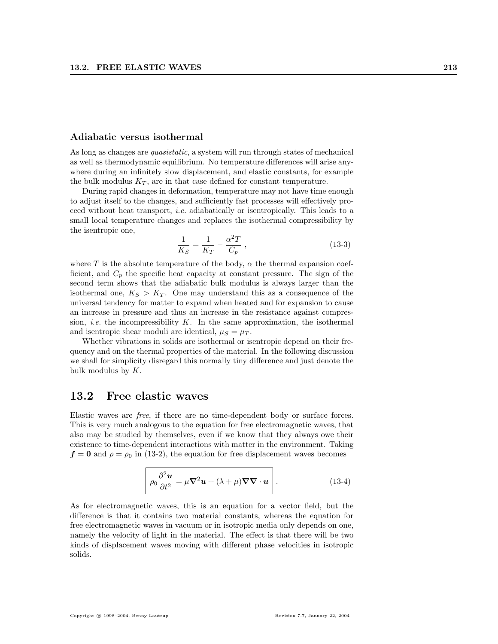### Adiabatic versus isothermal

As long as changes are quasistatic, a system will run through states of mechanical as well as thermodynamic equilibrium. No temperature differences will arise anywhere during an infinitely slow displacement, and elastic constants, for example the bulk modulus  $K_T$ , are in that case defined for constant temperature.

During rapid changes in deformation, temperature may not have time enough to adjust itself to the changes, and sufficiently fast processes will effectively proceed without heat transport, i.e. adiabatically or isentropically. This leads to a small local temperature changes and replaces the isothermal compressibility by the isentropic one,

$$
\frac{1}{K_S} = \frac{1}{K_T} - \frac{\alpha^2 T}{C_p} \,,\tag{13-3}
$$

where T is the absolute temperature of the body,  $\alpha$  the thermal expansion coefficient, and  $C_p$  the specific heat capacity at constant pressure. The sign of the second term shows that the adiabatic bulk modulus is always larger than the isothermal one,  $K_S > K_T$ . One may understand this as a consequence of the universal tendency for matter to expand when heated and for expansion to cause an increase in pressure and thus an increase in the resistance against compression, *i.e.* the incompressibility  $K$ . In the same approximation, the isothermal and isentropic shear moduli are identical,  $\mu_S = \mu_T$ .

Whether vibrations in solids are isothermal or isentropic depend on their frequency and on the thermal properties of the material. In the following discussion we shall for simplicity disregard this normally tiny difference and just denote the bulk modulus by  $K$ .

# 13.2 Free elastic waves

Elastic waves are free, if there are no time-dependent body or surface forces. This is very much analogous to the equation for free electromagnetic waves, that also may be studied by themselves, even if we know that they always owe their existence to time-dependent interactions with matter in the environment. Taking  $f = 0$  and  $\rho = \rho_0$  in (13-2), the equation for free displacement waves becomes

$$
\rho_0 \frac{\partial^2 \mathbf{u}}{\partial t^2} = \mu \nabla^2 \mathbf{u} + (\lambda + \mu) \nabla \nabla \cdot \mathbf{u} \Bigg| \,. \tag{13-4}
$$

As for electromagnetic waves, this is an equation for a vector field, but the difference is that it contains two material constants, whereas the equation for free electromagnetic waves in vacuum or in isotropic media only depends on one, namely the velocity of light in the material. The effect is that there will be two kinds of displacement waves moving with different phase velocities in isotropic solids.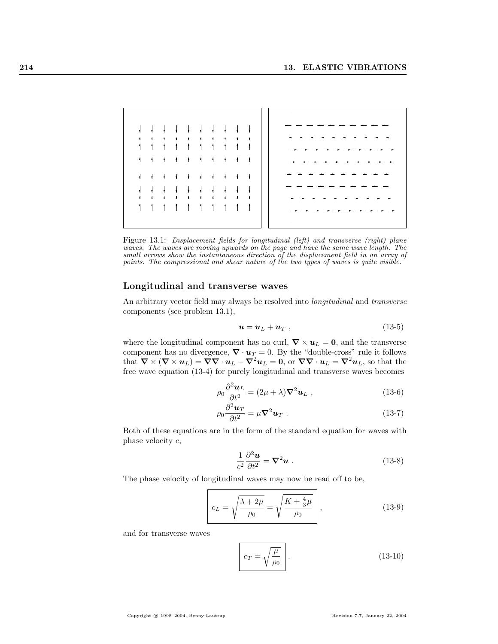

Figure 13.1: Displacement fields for longitudinal (left) and transverse (right) plane waves. The waves are moving upwards on the page and have the same wave length. The small arrows show the instantaneous direction of the displacement field in an array of points. The compressional and shear nature of the two types of waves is quite visible.

# Longitudinal and transverse waves

An arbitrary vector field may always be resolved into longitudinal and transverse components (see problem 13.1),

$$
\mathbf{u} = \mathbf{u}_L + \mathbf{u}_T \;, \tag{13-5}
$$

where the longitudinal component has no curl,  $\nabla \times \mathbf{u}_L = \mathbf{0}$ , and the transverse component has no divergence,  $\nabla \cdot \boldsymbol{u}_T = 0$ . By the "double-cross" rule it follows that  $\nabla \times (\nabla \times \boldsymbol{u}_L) = \nabla \nabla \cdot \boldsymbol{u}_L - \nabla^2 \boldsymbol{u}_L = \boldsymbol{0}$ , or  $\nabla \nabla \cdot \boldsymbol{u}_L = \nabla^2 \boldsymbol{u}_L$ , so that the free wave equation (13-4) for purely longitudinal and transverse waves becomes

$$
\rho_0 \frac{\partial^2 \mathbf{u}_L}{\partial t^2} = (2\mu + \lambda) \nabla^2 \mathbf{u}_L , \qquad (13-6)
$$

$$
\rho_0 \frac{\partial^2 \mathbf{u}_T}{\partial t^2} = \mu \nabla^2 \mathbf{u}_T . \qquad (13-7)
$$

Both of these equations are in the form of the standard equation for waves with phase velocity c,

$$
\frac{1}{c^2} \frac{\partial^2 \mathbf{u}}{\partial t^2} = \nabla^2 \mathbf{u} \ . \tag{13-8}
$$

The phase velocity of longitudinal waves may now be read off to be,

$$
c_L = \sqrt{\frac{\lambda + 2\mu}{\rho_0}} = \sqrt{\frac{K + \frac{4}{3}\mu}{\rho_0}} ,
$$
\n(13-9)

and for transverse waves

$$
c_T = \sqrt{\frac{\mu}{\rho_0}}.
$$
\n(13-10)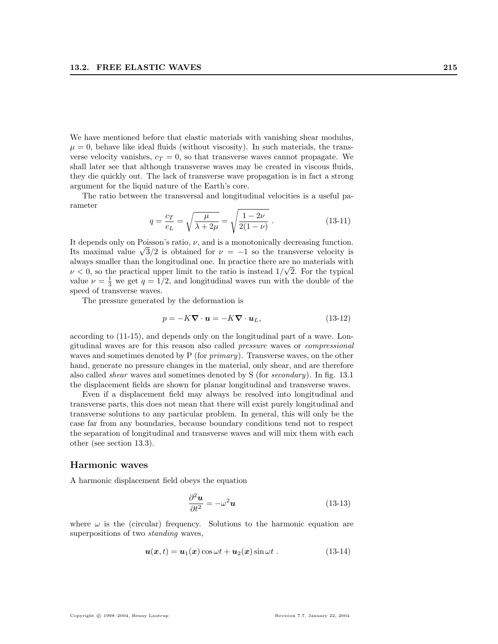We have mentioned before that elastic materials with vanishing shear modulus,  $\mu = 0$ , behave like ideal fluids (without viscosity). In such materials, the transverse velocity vanishes,  $c_T = 0$ , so that transverse waves cannot propagate. We shall later see that although transverse waves may be created in viscous fluids, they die quickly out. The lack of transverse wave propagation is in fact a strong argument for the liquid nature of the Earth's core.

The ratio between the transversal and longitudinal velocities is a useful parameter s

$$
q = \frac{c_T}{c_L} = \sqrt{\frac{\mu}{\lambda + 2\mu}} = \sqrt{\frac{1 - 2\nu}{2(1 - \nu)}}.
$$
 (13-11)

It depends only on Poisson's ratio,  $\nu$ , and is a monotonically decreasing function. It depends only on Poisson's ratio,  $\nu$ , and is a monotonically decreasing function.<br>Its maximal value  $\sqrt{3}/2$  is obtained for  $\nu = -1$  so the transverse velocity is always smaller than the longitudinal one. In practice there are no materials with  $\nu < 0$ , so the practical upper limit to the ratio is instead  $1/\sqrt{2}$ . For the typical value  $\nu = \frac{1}{3}$  we get  $q = 1/2$ , and longitudinal waves run with the double of the speed of transverse waves.

The pressure generated by the deformation is

$$
p = -K\mathbf{\nabla} \cdot \mathbf{u} = -K\mathbf{\nabla} \cdot \mathbf{u}_L, \tag{13-12}
$$

according to (11-15), and depends only on the longitudinal part of a wave. Longitudinal waves are for this reason also called pressure waves or compressional waves and sometimes denoted by P (for *primary*). Transverse waves, on the other hand, generate no pressure changes in the material, only shear, and are therefore also called shear waves and sometimes denoted by S (for secondary). In fig. 13.1 the displacement fields are shown for planar longitudinal and transverse waves.

Even if a displacement field may always be resolved into longitudinal and transverse parts, this does not mean that there will exist purely longitudinal and transverse solutions to any particular problem. In general, this will only be the case far from any boundaries, because boundary conditions tend not to respect the separation of longitudinal and transverse waves and will mix them with each other (see section 13.3).

### Harmonic waves

A harmonic displacement field obeys the equation

$$
\frac{\partial^2 \mathbf{u}}{\partial t^2} = -\omega^2 \mathbf{u} \tag{13-13}
$$

where  $\omega$  is the (circular) frequency. Solutions to the harmonic equation are superpositions of two standing waves,

$$
\mathbf{u}(\mathbf{x},t) = \mathbf{u}_1(\mathbf{x})\cos\omega t + \mathbf{u}_2(\mathbf{x})\sin\omega t \ . \qquad (13-14)
$$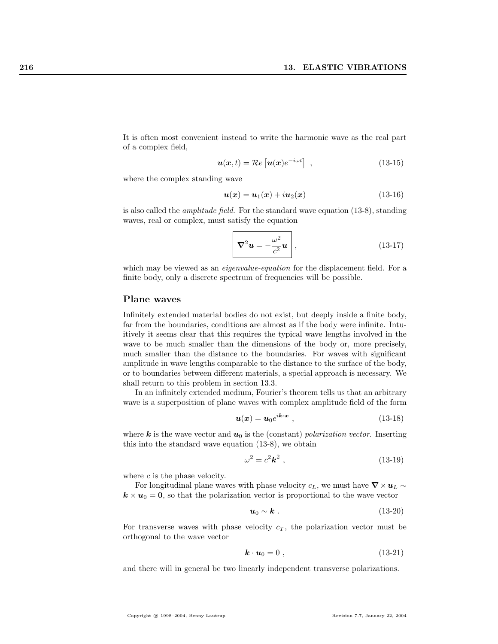It is often most convenient instead to write the harmonic wave as the real part of a complex field,

$$
\mathbf{u}(\mathbf{x},t) = \mathcal{R}e\left[\mathbf{u}(\mathbf{x})e^{-i\omega t}\right],\qquad(13{\text -}15)
$$

where the complex standing wave

$$
\boldsymbol{u}(\boldsymbol{x}) = \boldsymbol{u}_1(\boldsymbol{x}) + i\boldsymbol{u}_2(\boldsymbol{x}) \tag{13-16}
$$

is also called the amplitude field. For the standard wave equation (13-8), standing waves, real or complex, must satisfy the equation

$$
\nabla^2 \mathbf{u} = -\frac{\omega^2}{c^2} \mathbf{u} \bigg|, \qquad (13-17)
$$

which may be viewed as an *eigenvalue-equation* for the displacement field. For a finite body, only a discrete spectrum of frequencies will be possible.

# Plane waves

Infinitely extended material bodies do not exist, but deeply inside a finite body, far from the boundaries, conditions are almost as if the body were infinite. Intuitively it seems clear that this requires the typical wave lengths involved in the wave to be much smaller than the dimensions of the body or, more precisely, much smaller than the distance to the boundaries. For waves with significant amplitude in wave lengths comparable to the distance to the surface of the body, or to boundaries between different materials, a special approach is necessary. We shall return to this problem in section 13.3.

In an infinitely extended medium, Fourier's theorem tells us that an arbitrary wave is a superposition of plane waves with complex amplitude field of the form

$$
\mathbf{u}(\mathbf{x}) = \mathbf{u}_0 e^{i\mathbf{k}\cdot\mathbf{x}} \;, \tag{13-18}
$$

where k is the wave vector and  $u_0$  is the (constant) polarization vector. Inserting this into the standard wave equation (13-8), we obtain

$$
\omega^2 = c^2 \mathbf{k}^2 \,, \tag{13-19}
$$

where  $c$  is the phase velocity.

For longitudinal plane waves with phase velocity  $c<sub>L</sub>$ , we must have  $\nabla \times \mathbf{u}_{L} \sim$  $k \times u_0 = 0$ , so that the polarization vector is proportional to the wave vector

$$
u_0 \sim k \tag{13-20}
$$

For transverse waves with phase velocity  $c_T$ , the polarization vector must be orthogonal to the wave vector

$$
\mathbf{k} \cdot \mathbf{u}_0 = 0 \;, \tag{13-21}
$$

and there will in general be two linearly independent transverse polarizations.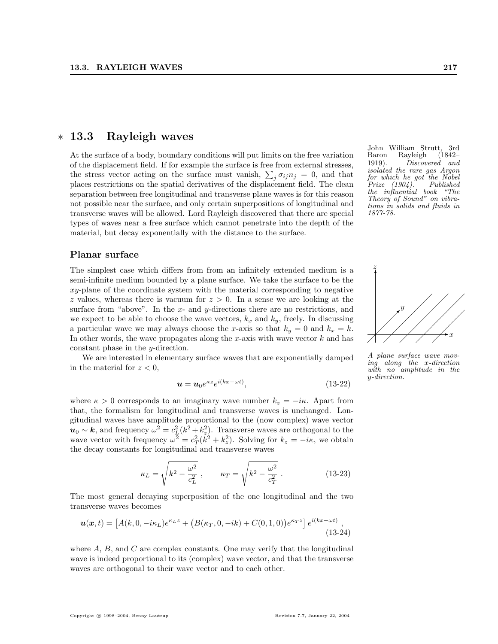# ∗ 13.3 Rayleigh waves

At the surface of a body, boundary conditions will put limits on the free variation of the displacement field. If for example the surface is free from external stresses, of the displacement held. If for example the surface is free from external stresses, the stress vector acting on the surface must vanish,  $\sum_j \sigma_{ij} n_j = 0$ , and that places restrictions on the spatial derivatives of the displacement field. The clean separation between free longitudinal and transverse plane waves is for this reason not possible near the surface, and only certain superpositions of longitudinal and transverse waves will be allowed. Lord Rayleigh discovered that there are special types of waves near a free surface which cannot penetrate into the depth of the material, but decay exponentially with the distance to the surface.

### Planar surface

The simplest case which differs from from an infinitely extended medium is a semi-infinite medium bounded by a plane surface. We take the surface to be the  $xy$ -plane of the coordinate system with the material corresponding to negative z values, whereas there is vacuum for  $z > 0$ . In a sense we are looking at the surface from "above". In the  $x$ - and  $y$ -directions there are no restrictions, and we expect to be able to choose the wave vectors,  $k_x$  and  $k_y$ , freely. In discussing a particular wave we may always choose the x-axis so that  $k_y = 0$  and  $k_x = k$ . In other words, the wave propagates along the x-axis with wave vector  $k$  and has constant phase in the y-direction.

We are interested in elementary surface waves that are exponentially damped in the material for  $z < 0$ ,

$$
\mathbf{u} = \mathbf{u}_0 e^{\kappa z} e^{i(kx - \omega t)},\tag{13-22}
$$

where  $\kappa > 0$  corresponds to an imaginary wave number  $k_z = -i\kappa$ . Apart from that, the formalism for longitudinal and transverse waves is unchanged. Longitudinal waves have amplitude proportional to the (now complex) wave vector  $u_0 \sim k$ , and frequency  $\omega^2 = c_L^2 (k^2 + k_z^2)$ . Transverse waves are orthogonal to the wave vector with frequency  $\omega^2 = c_T^2(k^2 + k_z^2)$ . Solving for  $k_z = -i\kappa$ , we obtain the decay constants for longitudinal and transverse waves

$$
\kappa_L = \sqrt{k^2 - \frac{\omega^2}{c_L^2}}, \qquad \kappa_T = \sqrt{k^2 - \frac{\omega^2}{c_T^2}}.
$$
 (13-23)

The most general decaying superposition of the one longitudinal and the two transverse waves becomes

$$
\mathbf{u}(\mathbf{x},t) = \left[ A(k,0,-i\kappa_L) e^{\kappa_L z} + \left( B(\kappa_T,0,-ik) + C(0,1,0) \right) e^{\kappa_T z} \right] e^{i(kx-\omega t)},\tag{13-24}
$$

where  $A, B$ , and  $C$  are complex constants. One may verify that the longitudinal wave is indeed proportional to its (complex) wave vector, and that the transverse waves are orthogonal to their wave vector and to each other.

John William Strutt, 3rd Rayleigh (1842– 1919). Discovered and isolated the rare gas Argon for which he got the Nobel Prize (1904). Published the influential book "The Theory of Sound" on vibrations in solids and fluids in 1877-78.



A plane surface wave moving along the x-direction with no amplitude in the y-direction.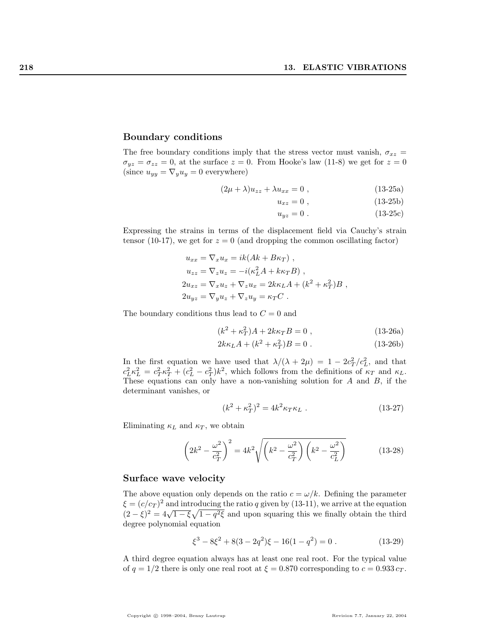### Boundary conditions

The free boundary conditions imply that the stress vector must vanish,  $\sigma_{xz}$  =  $\sigma_{yz} = \sigma_{zz} = 0$ , at the surface  $z = 0$ . From Hooke's law (11-8) we get for  $z = 0$ (since  $u_{yy} = \nabla_y u_y = 0$  everywhere)

$$
(2\mu + \lambda)u_{zz} + \lambda u_{xx} = 0 , \qquad (13-25a)
$$

$$
u_{xz} = 0 \tag{13-25b}
$$

 $u_{uz} = 0$ . (13-25c)

Expressing the strains in terms of the displacement field via Cauchy's strain tensor (10-17), we get for  $z = 0$  (and dropping the common oscillating factor)

$$
u_{xx} = \nabla_x u_x = ik(Ak + B\kappa_T) ,
$$
  
\n
$$
u_{zz} = \nabla_z u_z = -i(\kappa_L^2 A + k\kappa_T B) ,
$$
  
\n
$$
2u_{xz} = \nabla_x u_z + \nabla_z u_x = 2k\kappa_L A + (k^2 + \kappa_T^2) B ,
$$
  
\n
$$
2u_{yz} = \nabla_y u_z + \nabla_z u_y = \kappa_T C .
$$

The boundary conditions thus lead to  $C = 0$  and

$$
(k^2 + \kappa_T^2)A + 2k\kappa_T B = 0 , \qquad (13-26a)
$$

$$
2k\kappa_L A + (k^2 + \kappa_T^2)B = 0.
$$
 (13-26b)

In the first equation we have used that  $\lambda/(\lambda + 2\mu) = 1 - 2c_T^2/c_L^2$ , and that  $c_L^2 \kappa_L^2 = c_T^2 \kappa_T^2 + (c_L^2 - c_T^2)k^2$ , which follows from the definitions of  $\kappa_T$  and  $\kappa_L$ . These equations can only have a non-vanishing solution for  $A$  and  $B$ , if the determinant vanishes, or

$$
(k^2 + \kappa_T^2)^2 = 4k^2 \kappa_T \kappa_L . \qquad (13-27)
$$

Eliminating  $\kappa_L$  and  $\kappa_T$ , we obtain

$$
\left(2k^2 - \frac{\omega^2}{c_T^2}\right)^2 = 4k^2 \sqrt{\left(k^2 - \frac{\omega^2}{c_T^2}\right)\left(k^2 - \frac{\omega^2}{c_L^2}\right)}
$$
(13-28)

### Surface wave velocity

The above equation only depends on the ratio  $c = \omega/k$ . Defining the parameter  $\xi = (c/c_T)^2$  and introducing the ratio q given by (13-11), we arrive at the equation  $(2 - \xi)^2 = 4\sqrt{1 - \xi}\sqrt{1 - q^2\xi}$  and upon squaring this we finally obtain the third degree polynomial equation

$$
\xi^3 - 8\xi^2 + 8(3 - 2q^2)\xi - 16(1 - q^2) = 0.
$$
 (13-29)

A third degree equation always has at least one real root. For the typical value of  $q = 1/2$  there is only one real root at  $\xi = 0.870$  corresponding to  $c = 0.933 c_T$ .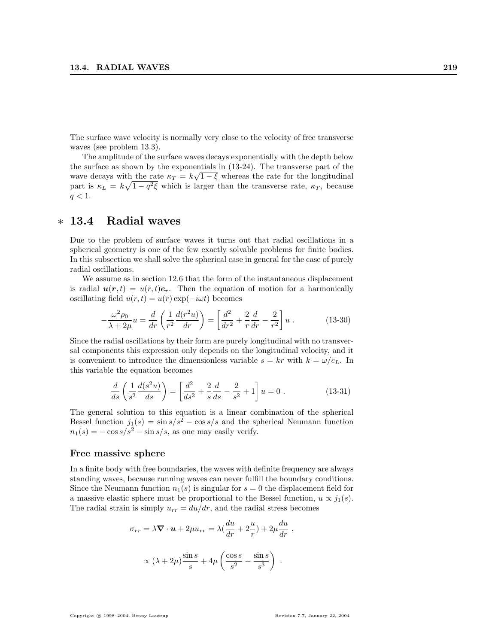The surface wave velocity is normally very close to the velocity of free transverse waves (see problem 13.3).

The amplitude of the surface waves decays exponentially with the depth below the surface as shown by the exponentials in  $(13-24)$ . The transverse part of the wave decays with the rate  $\kappa_T = k\sqrt{1-\xi}$  whereas the rate for the longitudinal part is  $\kappa_L = k\sqrt{1-q^2\xi}$  which is larger than the transverse rate,  $\kappa_T$ , because  $q < 1$ .

# ∗ 13.4 Radial waves

Due to the problem of surface waves it turns out that radial oscillations in a spherical geometry is one of the few exactly solvable problems for finite bodies. In this subsection we shall solve the spherical case in general for the case of purely radial oscillations.

We assume as in section 12.6 that the form of the instantaneous displacement is radial  $u(r, t) = u(r, t)e_r$ . Then the equation of motion for a harmonically oscillating field  $u(r, t) = u(r) \exp(-i\omega t)$  becomes

$$
-\frac{\omega^2 \rho_0}{\lambda + 2\mu} u = \frac{d}{dr} \left( \frac{1}{r^2} \frac{d(r^2 u)}{dr} \right) = \left[ \frac{d^2}{dr^2} + \frac{2}{r} \frac{d}{dr} - \frac{2}{r^2} \right] u .
$$
 (13-30)

Since the radial oscillations by their form are purely longitudinal with no transversal components this expression only depends on the longitudinal velocity, and it is convenient to introduce the dimensionless variable  $s = kr$  with  $k = \omega/c_L$ . In this variable the equation becomes

$$
\frac{d}{ds}\left(\frac{1}{s^2}\frac{d(s^2u)}{ds}\right) = \left[\frac{d^2}{ds^2} + \frac{2}{s}\frac{d}{ds} - \frac{2}{s^2} + 1\right]u = 0.
$$
\n(13-31)

The general solution to this equation is a linear combination of the spherical Bessel function  $j_1(s) = \sin s/s^2 - \cos s/s$  and the spherical Neumann function  $n_1(s) = -\cos s/s^2 - \sin s/s$ , as one may easily verify.

### Free massive sphere

In a finite body with free boundaries, the waves with definite frequency are always standing waves, because running waves can never fulfill the boundary conditions. Since the Neumann function  $n_1(s)$  is singular for  $s = 0$  the displacement field for a massive elastic sphere must be proportional to the Bessel function,  $u \propto j_1(s)$ . The radial strain is simply  $u_{rr} = du/dr$ , and the radial stress becomes

$$
\sigma_{rr} = \lambda \nabla \cdot \mathbf{u} + 2\mu u_{rr} = \lambda \left(\frac{du}{dr} + 2\frac{u}{r}\right) + 2\mu \frac{du}{dr} ,
$$

$$
\propto (\lambda + 2\mu) \frac{\sin s}{s} + 4\mu \left(\frac{\cos s}{s^2} - \frac{\sin s}{s^3}\right) .
$$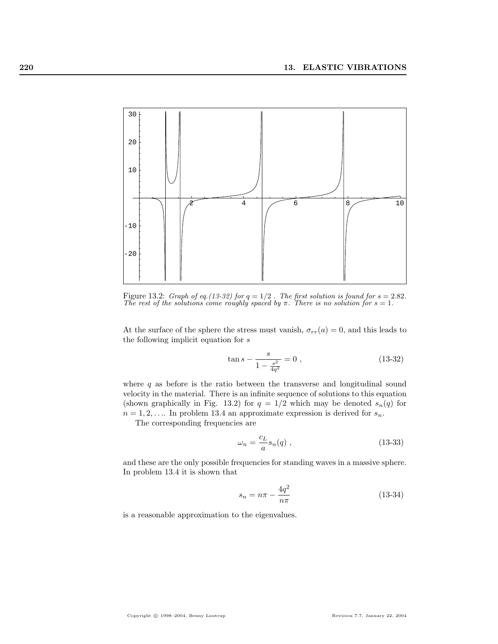

Figure 13.2: Graph of eq.(13-32) for  $q = 1/2$ . The first solution is found for  $s = 2.82$ . The rest of the solutions come roughly spaced by  $\pi$ . There is no solution for  $s = 1$ .

At the surface of the sphere the stress must vanish,  $\sigma_{rr}(a) = 0$ , and this leads to the following implicit equation for s

$$
\tan s - \frac{s}{1 - \frac{s^2}{4q^2}} = 0 ,\qquad (13-32)
$$

where  $q$  as before is the ratio between the transverse and longitudinal sound velocity in the material. There is an infinite sequence of solutions to this equation (shown graphically in Fig. 13.2) for  $q = 1/2$  which may be denoted  $s_n(q)$  for  $n = 1, 2, \ldots$  In problem 13.4 an approximate expression is derived for  $s_n$ .

The corresponding frequencies are

$$
\omega_n = \frac{c_L}{a} s_n(q) , \qquad (13-33)
$$

and these are the only possible frequencies for standing waves in a massive sphere. In problem 13.4 it is shown that

$$
s_n = n\pi - \frac{4q^2}{n\pi} \tag{13-34}
$$

is a reasonable approximation to the eigenvalues.